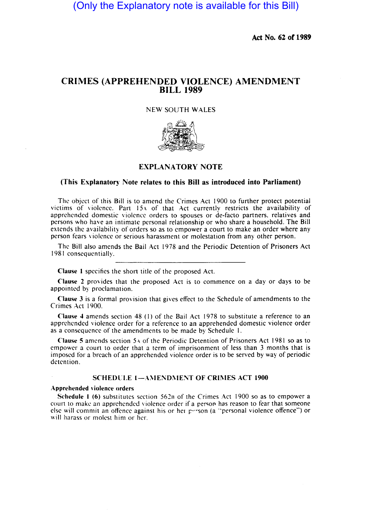(Only the Explanatory note is available for this Bill)

Act No. 62 of 1989

# CRIMES (APPREHENDED VIOLENCE) AMENDMENT BILL 1989

## NEW SOUTH WALES



## EXPLANATORY NOTE

### (This Explanatory Note relates to this Bill as introduced into Parliament)

The object of this Bill is to amend the Crimes Act 1900 to further protect potential victims of violence. Part 154 of that Act currently restricts the availability of apprehended domestic violence orders to spouses or de-facto partners. relatives and persons who have an intimate personal relationship or who share a household. The Bill extends the availability of orders so as to empower a court to make an order where any person fears violence or serious harassment or molestation from any other person.

The Bill also amends the Bail Act 1978 and the Periodic Detention of Prisoners Act 1981 consequentially.

Clause I specifies the short title of the proposed Act.

Clause 2 provides that the proposed Act is to commence on a day or days to be appointed by proclamation.

Clause 3 is a formal provision that gives effect to the Schedule of amendments to the Crimes Act 1900.

Clause 4 amends section 48 (I) of the Bail Act 1978 to substitute a reference to an apprehended violence order for a reference to an apprehended domestic violence order as a consequence of the amendments to be made by Schedule I.

Clause 5 amends section 5-\ of the Periodic Detention of Prisoners Act 1981 so as to empower a court to order that a term of imprisonment of less than 3 months that is imposed for a breach of an apprehended violence order is to be served by way of periodic detention.

### SCHEDULE I-AMENDMENT OF CRIMES ACT 1900

#### Apprehended violence orders

Schedule 1 (6) substitutes section  $562B$  of the Crimes Act 1900 so as to empower a court to make an apprehended violence order if a person has reason to fear that someone else will commit an offence against his or her person (a "personal violence offence") or will harass or molest him or her.